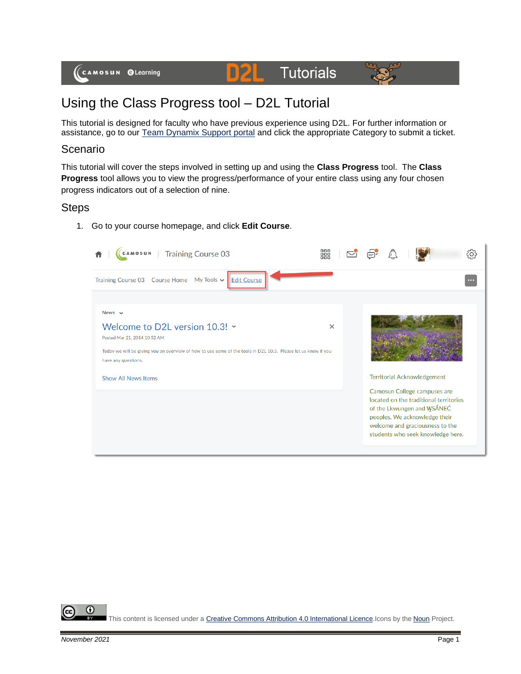#### D2L **Tutorials**



# Using the Class Progress tool – D2L Tutorial

This tutorial is designed for faculty who have previous experience using D2L. For further information or assistance, go to our [Team Dynamix Support portal](https://camosun.teamdynamix.com/TDClient/67/Portal/Requests/ServiceCatalog?CategoryID=523) and click the appropriate Category to submit a ticket.

## Scenario

This tutorial will cover the steps involved in setting up and using the **Class Progress** tool. The **Class Progress** tool allows you to view the progress/performance of your entire class using any four chosen progress indicators out of a selection of nine.

## Steps

1. Go to your course homepage, and click **Edit Course**.

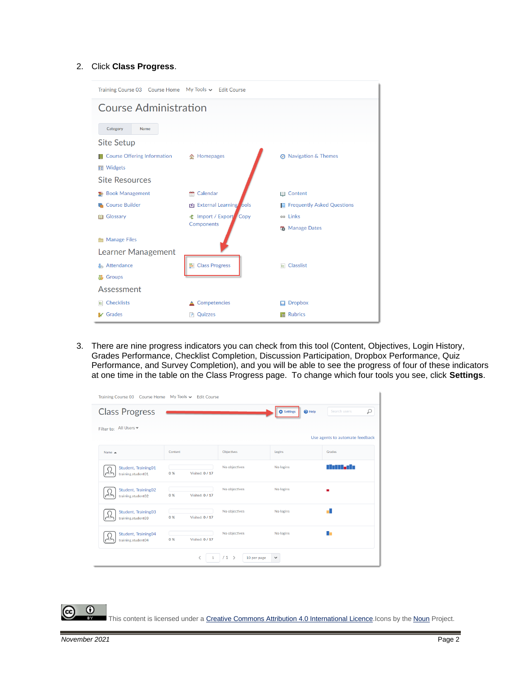#### 2. Click **Class Progress**.

| Training Course 03 Course Home My Tools ↓ Edit Course |                                     |                                   |  |  |  |  |
|-------------------------------------------------------|-------------------------------------|-----------------------------------|--|--|--|--|
| <b>Course Administration</b>                          |                                     |                                   |  |  |  |  |
| Category<br><b>Name</b>                               |                                     |                                   |  |  |  |  |
| <b>Site Setup</b>                                     |                                     |                                   |  |  |  |  |
| <b>Course Offering Information</b>                    | <b>企</b> Homepages                  | <b>@</b> Navigation & Themes      |  |  |  |  |
| <b>■</b> Widgets                                      |                                     |                                   |  |  |  |  |
| <b>Site Resources</b>                                 |                                     |                                   |  |  |  |  |
| <b>图 Book Management</b>                              | Calendar<br>÷                       | <b>III</b> Content                |  |  |  |  |
| <b>Course Builder</b>                                 | External Learning ools              | <b>Frequently Asked Questions</b> |  |  |  |  |
| Glossary<br>BO                                        | <b>全</b> Import / Export Copy       |                                   |  |  |  |  |
|                                                       | Components<br><b>R</b> Manage Dates |                                   |  |  |  |  |
| Manage Files                                          |                                     |                                   |  |  |  |  |
|                                                       | Learner Management                  |                                   |  |  |  |  |
| Attendance                                            | Class Progress                      | $E$ Classlist                     |  |  |  |  |
| Groups<br>₩                                           |                                     |                                   |  |  |  |  |
| Assessment                                            |                                     |                                   |  |  |  |  |
| <b>Checklists</b><br>目                                | Competencies                        | <b>Dropbox</b>                    |  |  |  |  |
| <b>V</b> Grades                                       | Quizzes<br>P                        | <b>Rubrics</b>                    |  |  |  |  |

3. There are nine progress indicators you can check from this tool (Content, Objectives, Login History, Grades Performance, Checklist Completion, Discussion Participation, Dropbox Performance, Quiz Performance, and Survey Completion), and you will be able to see the progress of four of these indicators at one time in the table on the Class Progress page. To change which four tools you see, click **Settings**.

| <b>Training Course 03</b>                 | Course Home My Tools v Edit Course |                 |                       |                                    |                                 |
|-------------------------------------------|------------------------------------|-----------------|-----------------------|------------------------------------|---------------------------------|
| <b>Class Progress</b>                     |                                    |                 |                       | $\Theta$ Help<br><b>D</b> Settings | ₽<br>Search users               |
| Filter to: All Users =                    |                                    |                 |                       |                                    |                                 |
|                                           |                                    |                 |                       |                                    | Use agents to automate feedback |
| Name $\triangle$                          | Content                            |                 | Objectives            | Logins                             | Grades                          |
| Student, Training01<br>training.student01 | 0%                                 | Visited: 0 / 17 | No objectives         | No logins                          | n La Billia de La               |
| Student, Training02<br>training.student02 | 0%                                 | Visited: 0 / 17 | No objectives         | No logins                          | ۰                               |
| Student, Training03<br>training.student03 | 0%                                 | Visited: 0 / 17 | No objectives         | No logins                          |                                 |
| Student, Training04<br>training.student04 | 0%                                 | Visited: 0 / 17 | No objectives         | No logins                          | n.                              |
|                                           |                                    | ∢               | $/1$ ><br>10 per page | $\checkmark$                       |                                 |

This content is licensed under [a Creative Commons Attribution 4.0 International Licence.I](https://creativecommons.org/licenses/by/4.0/)cons by the [Noun](https://creativecommons.org/website-icons/) Project.

 $\odot$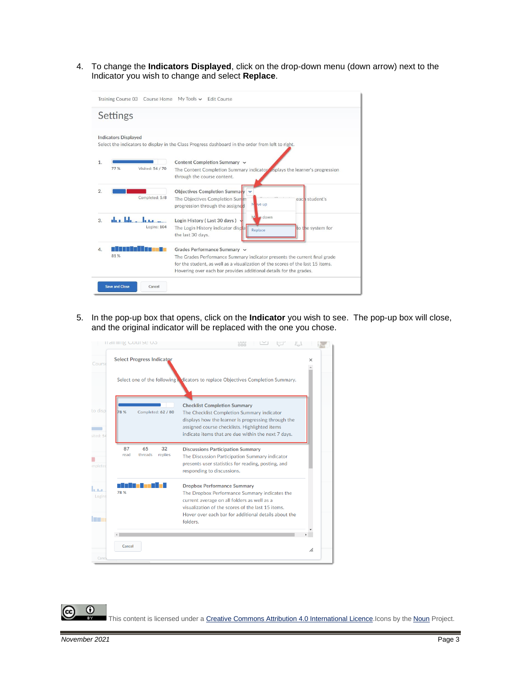4. To change the **Indicators Displayed**, click on the drop-down menu (down arrow) next to the Indicator you wish to change and select **Replace**.

| My Tools $\vee$<br>Training Course 03 Course Home<br><b>Edit Course</b> |                                                                                                                                                                                                                                                                    |  |  |  |  |
|-------------------------------------------------------------------------|--------------------------------------------------------------------------------------------------------------------------------------------------------------------------------------------------------------------------------------------------------------------|--|--|--|--|
| Settings                                                                |                                                                                                                                                                                                                                                                    |  |  |  |  |
| <b>Indicators Displayed</b>                                             | Select the indicators to display in the Class Progress dashboard in the order from left to right.                                                                                                                                                                  |  |  |  |  |
| 1.<br>77 %<br>Visited: 54 / 70                                          | Content Completion Summary v<br>The Content Completion Summary indicator is plays the learner's progression<br>through the course content.                                                                                                                         |  |  |  |  |
| 2.<br>Completed: 5/8                                                    | Objectives Completion Summary<br>The Objectives Completion Summ<br>each student's<br>M<br>ve up<br>progression through the assigned                                                                                                                                |  |  |  |  |
| that John John John<br>3.<br>Logins: 104                                | <b>Le</b> down<br>M<br>Login History (Last 30 days)<br>The Login History indicator displat<br>to the system for<br>Replace<br>the last 30 days.                                                                                                                    |  |  |  |  |
| 4.<br>81%                                                               | Grades Performance Summary v<br>The Grades Performance Summary indicator presents the current final grade<br>for the student, as well as a visualization of the scores of the last 15 items.<br>Hovering over each bar provides additional details for the grades. |  |  |  |  |
| <b>Save and Close</b><br>Cancel                                         |                                                                                                                                                                                                                                                                    |  |  |  |  |

5. In the pop-up box that opens, click on the **Indicator** you wish to see. The pop-up box will close, and the original indicator will be replaced with the one you chose.



0 This content is licensed under [a Creative Commons Attribution 4.0 International Licence.I](https://creativecommons.org/licenses/by/4.0/)cons by the [Noun](https://creativecommons.org/website-icons/) Project.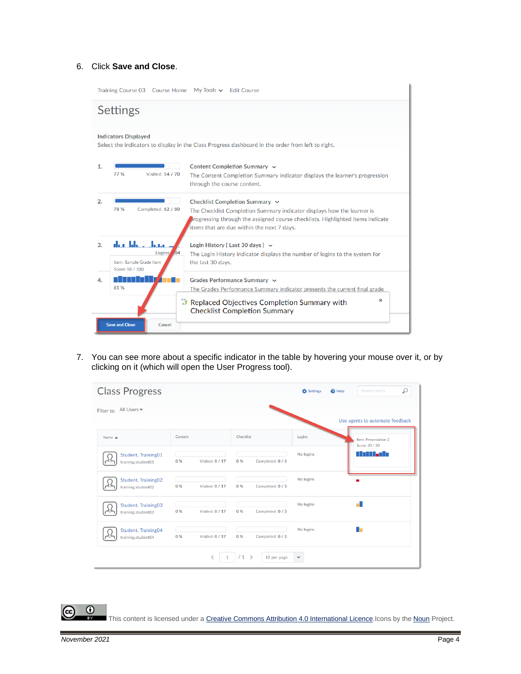### 6. Click **Save and Close**.

| My Tools $\sim$ Edit Course<br>Training Course 03 Course Home                                                                    |                                                                                                                                                                                                                                               |  |  |  |  |
|----------------------------------------------------------------------------------------------------------------------------------|-----------------------------------------------------------------------------------------------------------------------------------------------------------------------------------------------------------------------------------------------|--|--|--|--|
| <b>Settings</b>                                                                                                                  |                                                                                                                                                                                                                                               |  |  |  |  |
| <b>Indicators Displayed</b><br>Select the indicators to display in the Class Progress dashboard in the order from left to right. |                                                                                                                                                                                                                                               |  |  |  |  |
| 1.<br>77 %<br>Visited: 54 / 70                                                                                                   | Content Completion Summary ~<br>The Content Completion Summary indicator displays the learner's progression<br>through the course content.                                                                                                    |  |  |  |  |
| 2.<br>78 %<br>Completed: 62 / 80                                                                                                 | Checklist Completion Summary $\sim$<br>The Checklist Completion Summary indicator displays how the learner is<br>progressing through the assigned course checklists. Highlighted items indicate<br>items that are due within the next 7 days. |  |  |  |  |
| dan Jakar<br>3 <sub>1</sub><br>Logins <sup>1</sup> <sub>104</sub><br>Item: Sample Grade Item<br>Score: 98 / 100                  | Login History (Last 30 days) $\sim$<br>The Login History indicator displays the number of logins to the system for<br>the last 30 days.                                                                                                       |  |  |  |  |
| 4.<br>81%                                                                                                                        | Grades Performance Summary ~<br>The Grades Performance Summary indicator presents the current final grade                                                                                                                                     |  |  |  |  |
| <b>Save and Close</b><br>Cancel                                                                                                  | $\times$<br>Replaced Objectives Completion Summary with<br><b>Checklist Completion Summary</b>                                                                                                                                                |  |  |  |  |

7. You can see more about a specific indicator in the table by hovering your mouse over it, or by clicking on it (which will open the User Progress tool).

| <b>Class Progress</b>                     |                              |                                    | <b>D</b> Settings | Search users<br>$\odot$ Help           |
|-------------------------------------------|------------------------------|------------------------------------|-------------------|----------------------------------------|
| Filter to: All Users v                    |                              |                                    |                   |                                        |
|                                           |                              |                                    |                   | Use agents to automate feedback        |
| Name $\triangle$                          | Content                      | Checklist                          | Logins            | Item: Presentation 2<br>Score: 20 / 20 |
| Student, Training01<br>training.student01 | Visited: 0 / 17<br>0%        | Completed: 0 / 3<br>0%             | No logins         |                                        |
| Student, Training02<br>training.student02 | 0%<br><b>Visited: 0 / 17</b> | 0%<br>Completed: 0 / 3             | No logins         | m                                      |
| Student, Training03<br>training.student03 | 0%<br>Visited: 0 / 17        | 0%<br>Completed: 0 / 3             | No logins         |                                        |
| Student, Training04<br>training.student04 | 0 %<br>Visited: 0 / 17       | 0%<br>Completed: 0 / 3             | No logins         |                                        |
|                                           | ८                            | /1<br>$\rightarrow$<br>10 per page | $\checkmark$      |                                        |

This content is licensed under [a Creative Commons Attribution 4.0 International Licence.I](https://creativecommons.org/licenses/by/4.0/)cons by the [Noun](https://creativecommons.org/website-icons/) Project.

 $\overline{\odot}$ 

(cc